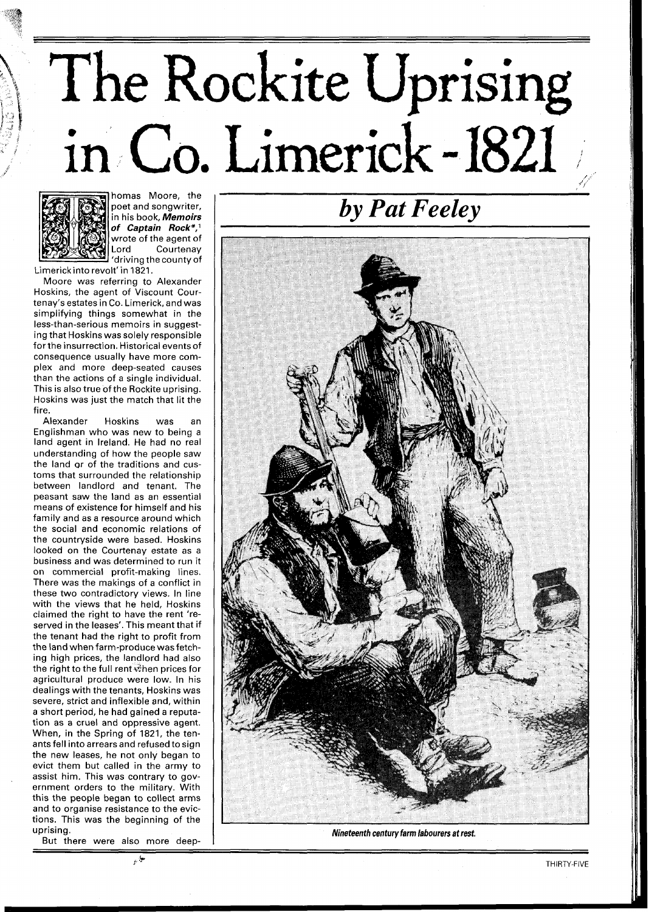## The Rockite Uprising Limerick - **21** //



homas Moore, the poet and songwriter, in his book, **Memoirs of Captain Rock\*,'**  wrote of the agent of Lord Courtenay 'driving the county of

Limerickinto revolt' in 1821.

Moore was referring to Alexander Hoskins, the agent of Viscount Courtenay's estates in Co. Limerick, and was simplifying things somewhat in the less-than-serious memoirs in suggesting that Hoskins was solely responsible for the insurrection. Historical events of consequence usually have more complex and more deep-seated causes than the actions of a single individual. This is also true of the Rockite uprising. Hoskins was just the match that lit the fire.

Alexander Hoskins was an Englishman who was new to being a land agent in Ireland. He had no real understanding of how the people saw the land or of the traditions and customs that surrounded the relationship between landlord and tenant. The peasant saw the land as an essential means of existence for himself and his family and as a resource around which the social and economic relations of the countryside were based. Hoskins looked on the Courtenay estate as a business and was determined to run it on commercial profit-making lines. There was the makings of a conflict in these two contradictory views. In line with the views that he held, Hoskins claimed the right to have the rent 'reserved in the leases'. This meant that if the tenant had the right to profit from the land when farm-produce wasfetching high prices, the landlord had also the right to the full rent when prices for agricultural produce were low. In his dealings with the tenants, Hoskins was severe, strict and inflexible and, within a short period, he had gained a reputation as a cruel and oppressive agent. When, in the Spring of 1821, the tenants fell into arrears and refused to sign the new leases, he not only began to evict them but called in the army to assist him. This was contrary to government orders to the military. With this the people began to collect arms and to organise resistance to the evictions. This was the beginning of the uprising.

But there were also more deep-

مياني

*by Pat Feeley* 



*Nineteenth century farm labourers at rest.*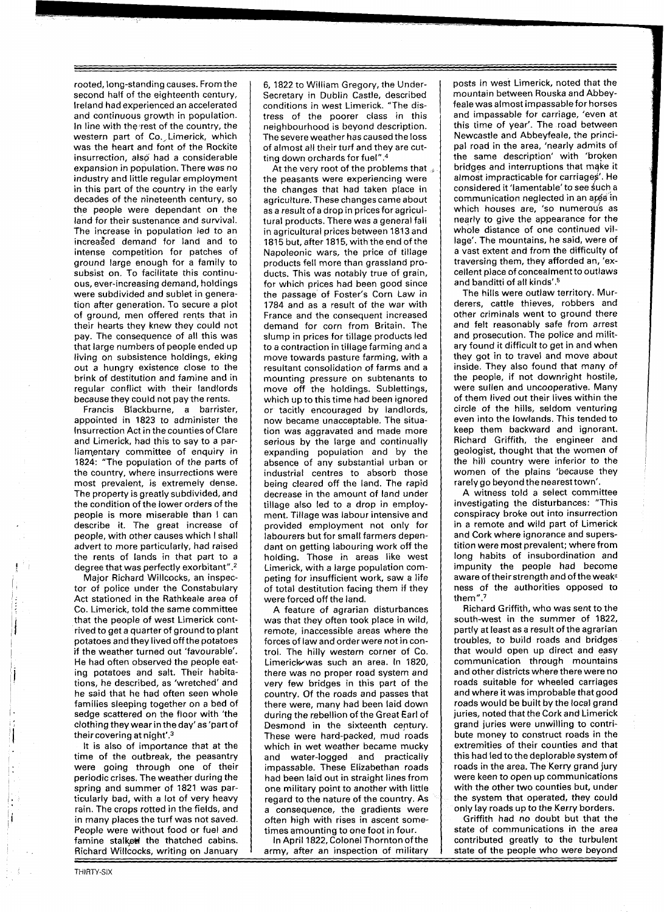rooted, long-standing causes. From the second half of the eighteenth century, Ireland had experienced an accelerated and continuous growth in population. In line with the rest of the country, the western part of Co. Limerick, which was the heart and font of the Rockite insurrection, also had a considerable expansion in population. There was no industry and little regular employment in this part of the country in the early decades of the nineteenth century, so the people were dependant on the land for their sustenance and survival. The increase in population led to an increased demand for land and to intense competition for patches of ground large enough for a family to subsist on. To facilitate this continuous, ever-increasing demand, holdings were subdivided and sublet in generation after generation. To secure a plot of ground, men offered rents that in their hearts they knew they could not pay. The consequence of all this was that large numbers of people ended up living on subsistence holdings, eking out a hungry existence close to the brink of destitution and famine and in regular conflict with their landlords because they could not pay the rents.

Francis Blackburne, a barrister, appointed in 1823 to administer the Insurrection Act in the counties of Clare and Limerick, had this to say to a parliamentary committee of enquiry in 1824: "The population of the parts of the country, where insurrections were most prevalent, is extremely dense. The property is greatly subdivided, and the condition of the lower orders of the people is more miserable than I can describe it. The great increase of people, with other causes which I shall advert to more particularly, had raised the rents of lands in that part to a degree that was perfectly exorbitant".<sup>2</sup>

Major Richard Willcocks, an inspector of police under the Constabulary Act stationed in the Rathkeale area of Co. Limerick, told the same committee that the people of west Limerick contrived to get a quarter of ground to plant potatoes and they lived off the potatoes if the weather turned out 'favourable'. He had often observed the people eating potatoes and salt. Their habitations, he described, as 'wretched' and he said that he had often seen whole families sleeping together on a bed of sedge scattered on the floor with 'the clothing they wear in the day'as'partof their covering at night'.3

It is also of importance that at the time of the outbreak, the peasantry were going through one of their periodic crises. The weather during the spring and summer of 1821 was particularly bad, with a lot of very heavy rain. The crops rotted in the fields, and in many places the turf was not saved. People were without food or fuel and famine stalked the thatched cabins. Richard Willcocks, writing on January 6, 1822 to William Gregory, the Undersecretary in Dublin Castle, described conditions in west Limerick. "The distress of the poorer class in this neighbourhood is beyond description. The severe weather has caused the loss of almost all their turf and they are cutting down orchards for fuel".4

At the very root of the problems that the peasants were experiencing were the changes that had taken place in agriculture. These changescame about as a result of a drop in pricesfor agricultural products. There was a general fall in agricultural prices between 1813 and 1815 but, after 1815, with the end of the Napoleonic wars, the price of tillage products fell more than grassland products. This was notably true of grain, for which prices had been good since the passage' of Foster's Corn Law in 1784 and as a result of the war with France and the consequent increased demand for corn from Britain. The slump in prices for tillage products led to a contraction in tillage farming and a move towards pasture farming, with a resultant consolidation of farms and a mounting pressure on subtenants to move off the holdings. Sublettings, which up to this time had been ignored or tacitly encouraged by landlords, now became unacceptable. The situation was aggravated and made more serious by the large and continually expanding population and by the absence of any substantial urban or industrial centres to absorb those being cleared off the land. The rapid decrease in the amount of land under tillage also led to a drop in employment. Tillage was labour intensive and provided employment not only for labourers but for small farmers dependant on getting labouring work off the holding. Those in areas like west Limerick, with a large population competing for insufficient work, saw a life of total destitution facing them if they were forced off the land.

A feature of agrarian disturbances was that they often took place in wild, remote, inaccessible areas where the forces of law and orderwere not in control. The hilly western corner of Co. Limerick-was such an area. In 1820, there was no proper road system and very few bridges in this part of the country. Of the roads and passes that there were, many had been laid down during the rebellion of the Great Earl of Desmond in the sixteenth century. These were hard-packed, mud roads which in wet weather became mucky and water-logged and practically impassable. These Elizabethan roads had been laid out in straight lines from one military point to another with little regard to the nature of the country. As a consequence, the gradients were often high with rises in ascent sometimes amounting to one foot in four.

In April 1822, Colonel Thornton of the army, after an inspection of military

posts in west Limerick, noted that the mountain between Rouska and Abbeyfeale was almost impassable for horses and impassable for carriage, 'even at this time of year'. The road between Newcastle and Abbeyfeale, the principal road in the area, 'nearly admits of the same description' with 'broken bridges and interruptions that make it almost impracticable for carriages'. He considered it 'lamentable' to see such a communication neglected in an area in which houses are, 'so numerous as nearly to give the appearance for the whole distance of one continued village'. The mountains, he said, were of a vast extent and from the difficulty of traversing them, they afforded an, 'excellent place of concealment to outlaws and banditti of all kinds'.<sup>5</sup>

The hills were outlaw territory. Murderers, cattle thieves, robbers and other criminals went to ground there and felt reasonably safe from arrest and prosecution. The police and military found it difficult to get in and when they got in to travel and move about inside. They also found that many of the people, if not downright hostile, were sullen and uncooperative. Many of them lived out their lives within the circle of the hills, seldom venturing even into the lowlands. This tended to keep them backward and ignorant. Richard Griffith, the engineer and geologist, thought that the women of the hill country were inferior to the women of the plains 'because they rarely go beyond the nearest town'.

A witness told a select committee investigating the disturbances: "This conspiracy broke out into insurrection in a remote and wild part of Limerick and Cork where ignorance and superstition were most prevalent; where from long habits of insubordination and impunity the people had become aware of their strength and of the weak<sup>2</sup> ness of the authorities opposed to them".7

Richard Griffith, who was sent to the south-west in the summer of 1822, partly at least as a result of the agrarian troubles, to build roads and bridges that would open up direct and easy communication through mountains and other districts where there were no roads suitable for wheeled carriages and where it was improbable that good roads would be built by the local grand juries, noted that the Cork and Limerick grand juries were unwilling to contribute money to construct roads in the extremities of their counties and that this had led to the deplorable system of roads in the area. The Kerry grand jury were keen to open up communications with the other two counties but, under the system that operated, they could only lay roads up to the Kerry borders.

Griffith had no doubt but that the state of communications in the area contributed greatly to the turbulent state of the people who were beyond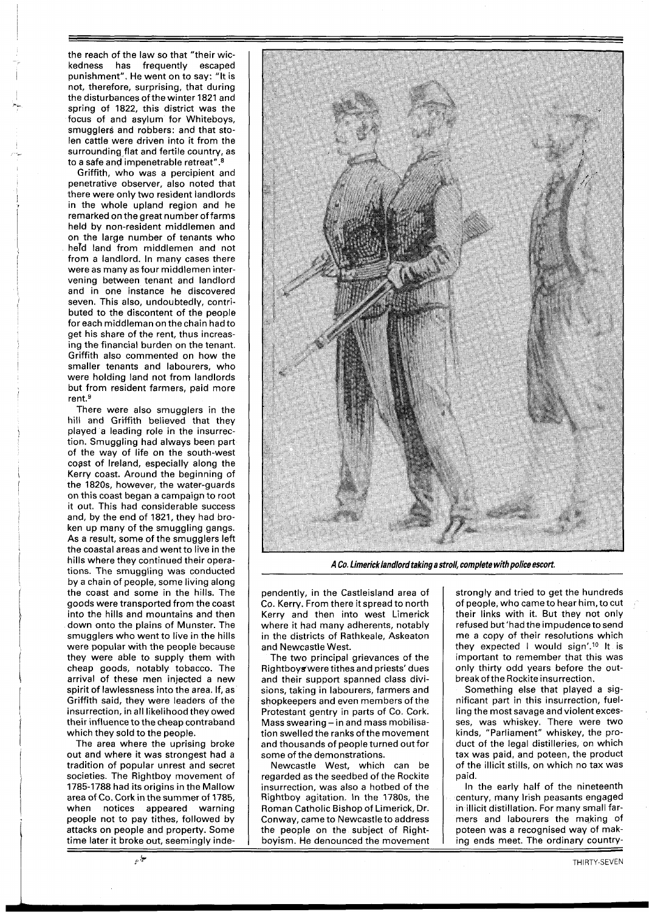the reach of the law so that "their wickedness has frequently escaped punishment". He went on to say: "It is not, therefore, surprising, that during the disturbances of the winter 1821 and spring of 1822, this district was the focus of and asylum for Whiteboys, smugglers and robbers: and that stolen cattle were driven into it from the surrounding,flat and fertile country, as to a safe and impenetrable retreat".8

Griffith, who was a percipient and penetrative observer, also noted that there were only two resident landlords in the whole upland region and he remarked on the great number offarms held by non-resident middlemen and on the large number of tenants who held land from middlemen and not from a landlord. In many cases there were as many as four middlemen intervening between tenant and landlord and in one instance he discovered seven. This also, undoubtedly, contributed to the discontent of the people for each middleman on the chain had to get his share of the rent, thus increasing the financial burden on the tenant. Griffith also commented on how the smaller tenants and labourers, who were holding land not from landlords but from resident farmers, paid more rent.<sup>9</sup>

There were also smugglers in the hill and Griffith believed that they played a leading role in the insurrection. Smuggling had always been part of the way of life on the south-west coast of Ireland, especially along the Kerry coast. Around the beginning of the 1820s, however, the water-guards on this coast began a campaign to root it out. This had considerable success and, by the end of 1821, they had broken up many of the smuggling gangs. As a result, some of the smugglers left the coastal areas and went to live in the hills where they continued their operations. The smuggling was conducted by a chain of people, some living along the coast and some in the hills. The goods were transported from the coast into the hills and mountains and then down onto the plains of Munster. The smugglers who went to live in the hills were popular with the people because they were able to supply them with cheap goods, notably tobacco. The arrival of these men injected a new spirit of lawlessness into the area. If, as Griffith said, they were leaders of the insurrection, in all likelihood they owed their influence to the cheap contraband which they sold to the people.

The area where the uprising broke out and where it was strongest had a tradition of popular unrest and secret societies. The Rightboy movement of 1785-1788 had its origins in the Mallow area of Co. Cork in the summer of 1785, when notices appeared warning people not to pay tithes, followed by attacks on people and property. Some time later it broke out, seemingly inde-

حيا.<br>مو



**A Co. Limericklandlord taking a stroll, complete with police escort** 

pendently, in the Castleisland area of Co. Kerry. From there it spread to north Kerry and then into west Limerick where it had many adherents, notably in the districts of Rathkeale, Askeaton and Newcastle West.

The two principal grievances of the Rightboy%were tithes and priests' dues and their support spanned class divisions, taking in labourers, farmers and shopkeepers and even members of the Protestant gentry in parts of Co. Cork. Mass swearing - in and mass mobilisation swelled the ranks of the movement and thousands of people turned out for some of the demonstrations.

Newcastle West, which can be regarded as the seedbed of the Rockite insurrection, was also a hotbed of the Rightboy agitation. In the 1780s, the Roman Catholic Bishop of Limerick, Dr. Conway, came to Newcastle to address the people on the subject of Rightboyism. He denounced the movement

strongly and tried to get the hundreds of people, who came to hear him, to cut their links with it. But they not only refused but 'had the impudence tosend me a copy of their resolutions which they expected I would sign'.<sup>10</sup> It is important to remember that this was only thirty odd years before the outbreak of the Rockite insurrection.

Something else that played a significant part in this insurrection, fuelling the most savage and violent excesses, was whiskey. There were two kinds, "Parliament" whiskey, the product of the legal distilleries, on which tax was paid, and poteen, the product of the illicit stills, on which no tax was paid.

In the early half of the nineteenth century, many Irish peasants engaged in illicit distillation. For many small farmers and labourers the making of poteen was a recognised way of making ends meet. The ordinary country-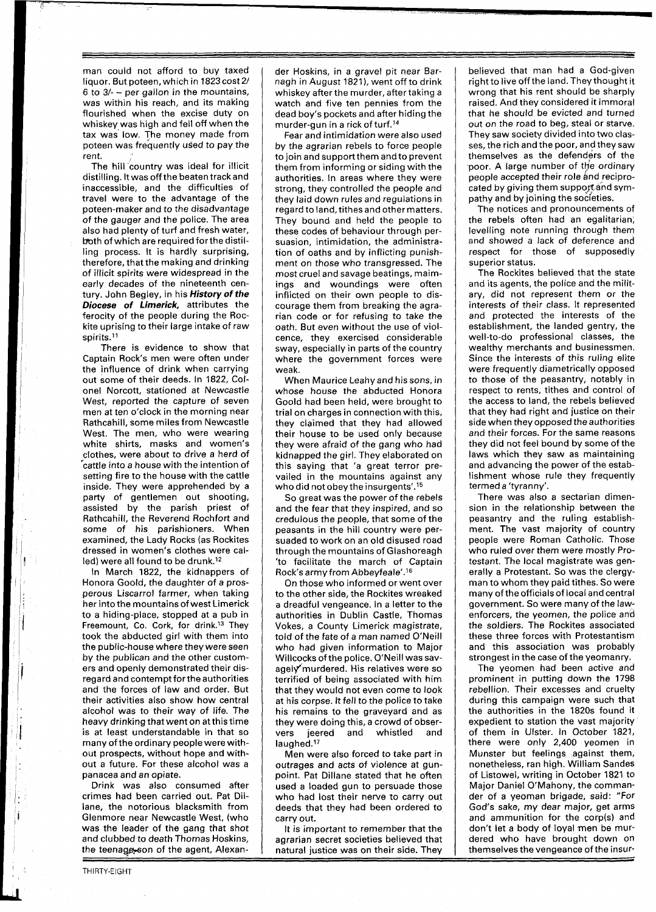man could not afford to buy taxed liquor. But poteen, which in 1823 cost 2/  $6$  to  $3/-$  - per gallon in the mountains, was within his reach, and its making flourished when the excise duty on whiskey was high and fell off when the tax was low. The money made from poteen was frequently used to pay the rent.

The hill country was ideal for illicit distilling. It was off the beaten trackand inaccessible, and the difficulties of travel were to the advantage of the poteen-maker and to the disadvantage of the gauger and the police. The area also had plenty of turf and fresh water, both of which are required forthe distilling process. It is hardly surprising, therefore, that the making and drinking of illicit spirits were widespread in the early decades of the nineteenth century. John Begley, in his **History of the Diocese of Limerick,** attributes the ferocity of the people during the Rockite uprising to their large intake of raw spirits.<sup>11</sup>

There is evidence to show that Captain Rock's men were often under the influence of drink when carrying out some of their deeds. In 1822, Colonel Norcott, stationed at Newcastle West, reported the capture of seven men at ten o'clock in the morning near Rathcahill, some miles from Newcastle West. The men, who were wearing white shirts, masks and women's clothes, were about to drive a herd of  $\hat{}$  cattle into a house with the intention of setting fire to the house with the cattle inside. They were apprehended by a party of gentlemen out shooting, assisted by the parish priest of Rathcahill, the Reverend Rochfort and some of his parishioners. When examined, the Lady Rocks (as Rockites dressed in women's clothes were called) were all found to be drunk.<sup>12</sup>

In March 1822, the kidnappers of Honora Goold, the daughter of a prosperous Liscarrol farmer, when taking her into the mountains of west Limerick to a hiding-place, stopped at a pub in Freemount, Co. Cork, for drink.13 They took the abducted girl with them into the public-house where they were seen by the publican and the other customers and openly demonstrated their disregard and contempt for the authorities and the forces of law and order. But their activities also show how central alcohol was to their way of life. The heavy drinking that went on at this time is at least understandable in that so many of the ordinary people were without prospects, without hope and without a future. For these alcohol was a panacea and an opiate.

Drink was also consumed after crimes had been carried out. Pat Dillane, the notorious blacksmith from Glenmore near Newcastle West, (who was the leader of the gang that shot and clubbed to death Thomas Hoskins, the teenage son of the agent, Alexander Hoskins, in a gravel pit near Barnagh in August 1821), went off to drink whiskey after the murder, after taking a watch and five ten pennies from the dead boy's pockets and after hiding the murder-gun in a rick of turf.'4

Fear and intimidation were also used by the agrarian rebels to force people to join and support them and to prevent them from informing or siding with the authorities. In areas where they were strong, they controlled the people and they laid down rules and regulations in regard to land, tithes and other matters. They bound and held the people to these codes of behaviour through persuasion, intimidation, the administration of oaths and by inflicting punishment on those who transgressed. The most cruel and savage beatings, maimings and woundings were often inflicted on their own people to discourage them from breaking the agrarian code or for refusing to take the oath. But even without the use of violcence, they exercised considerable sway, especially in parts of the country where the government forces were weak.

When Maurice Leahy and his sons, in whose house the abducted Honora Goold had been held, were brought to trial on charges in connection with this, they claimed that they had allowed their house to be used only because they were afraid of the gang who had kidnapped the girl. They elaborated on this saying that 'a great terror prevailed in the mountains against any who did not obey the insurgents'.15

So great was the power of the rebels and the fear that they inspired, and so credulous the people, that some of the peasants in the hill country were persuaded to work on an old disused road through the mountains of Glashoreagh 'to facilitate the march of Captain Rock's army fromAbbeyfeale'.16

On those who informed or went over to the other side, the Rockites wreaked a dreadful vengeance. In a letter to the authorities in Dublin Castle, Thomas Vokes, a County Limerick magistrate, told of the fate of a man named O'Neill who had given information to Major Willcocks of the police. O'Neill was savagely murdered. His relatives were so terrified of being associated with him that they would not even come to look at his corpse. It fell to the police to take his remains to the graveyard and as they were doing this, a crowd of obser-<br>vers ieered and whistled and vers jeered and whistled and laughed.<sup>17</sup>

Men were also forced to take part in outrages and acts of violence at gunpoint. Pat Dillane stated that he often used a loaded gun to persuade those who had lost their nerve to carry out deeds that they had been ordered to carry out.

It is important to remember that the agrarian secret societies believed that natural justice was on their side. They

believed that man had a God-given right to live off the land. They thought it wrong that his rent should be sharply raised. And they considered it immoral that he should be evicted and turned out on the road to beg, steal or starve. They saw society divided into two classes, the rich and the poor, and they saw themselves as the defenders of the poor. A large number of the ordinary people accepted their role and reciprocated by giving them support and sympathy and by joining the societies.

The notices and pronouncements of the rebels often had an egalitarian, levelling note running through them and showed a lack of deference and respect for those of supposedly superior status.

The Rockites believed that the state and its agents, the police and the military, did not represent them or the interests of their class. It represented and protected the interests of the establishment, the landed gentry, the well-to-do professional classes, the wealthy merchants and businessmen. Since the interests of this ruling elite were frequently diametrically opposed to those of the peasantry, notably in respect to rents, tithes and control of the access to land, the rebels believed that they had right and justice on their side when they opposed the authorities and their forces. For the same reasons they did not feel bound by some of the laws which they saw as maintaining and advancing the power of the establishment whose rule they frequently termed a 'tyranny'.

There was also a sectarian dimension in the relationship between the peasantry and the ruling establishment. The vast majority of country people were Roman Catholic. Those who ruled over them were mostly Protestant. The local magistrate was generally a Protestant. So was the clergyman to whom they paid tithes. So were many of the officials of local and central government. So were many of the lawenforcers, the yeomen, the police and the soldiers. The Rockites associated these three forces with Protestantism and this association was probably strongest in the case of the yeomanry.

The yeomen had been active and prominent in putting down the 1798 rebellion. Their excesses and cruelty during this campaign were such that the authorities in the 1820s found it expedient to station the vast majority of them in Ulster. In October 1821, there were only 2,400 yeomen in Munster but feelings against them, nonetheless, ran high. William Sandes of Listowel, writing in October 1821 to Major Daniel O'Mahony, the commander of a yeoman brigade, said: "For God's sake, my dear major, get arms and ammunition for the corp(s) and don't let a body of loyal men be murdered who have brought down on themselves the vengeance of the insur-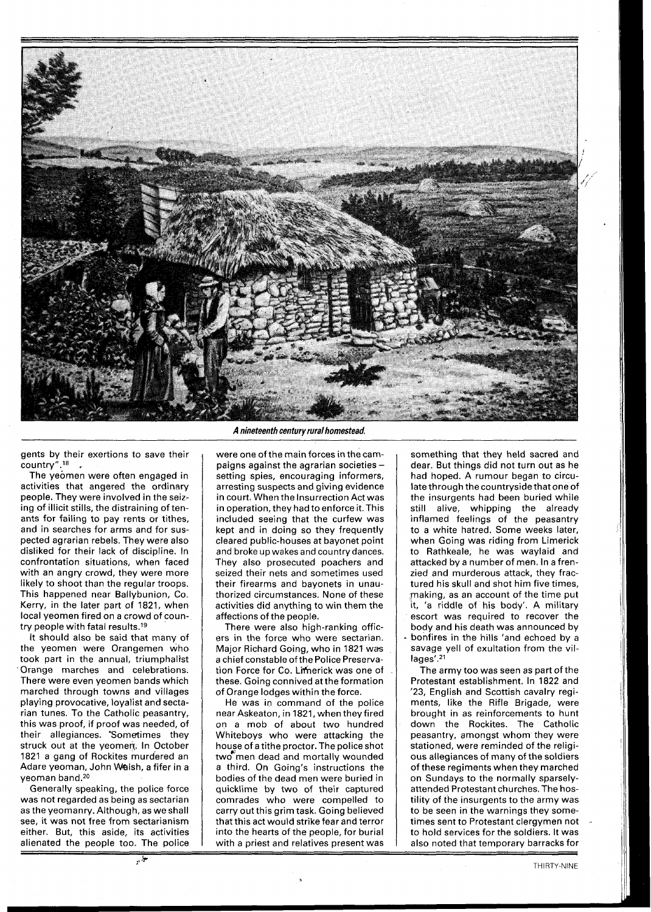

gents by their exertions to save their country".<sup>18</sup>

The yeomen were often engaged in activities that angered the ordinary people. They were involved in the seizing of illicit stills, the distraining of tenants for failing to pay rents or tithes, and in searches for arms and for suspected agrarian rebels. They were also disliked for their lack of discipline. In confrontation situations, when faced with an angry crowd, they were more likely to shoot than the regular troops. This happened near Ballybunion, Co. Kerry, in the later part of 1821, when local yeomen fired on a crowd of country people with fatal results.<sup>19</sup>

It should also be said that many of the yeomen were Orangemen who took part in the annual, triumphalist 'Orange marches and celebrations. There were even yeomen bands which marched through towns and villages playing provocative, loyalist and sectarian tunes. To the Catholic peasantry, this was proof, if proof was needed, of their allegiances. "Sometimes they struck out at the yeomen. In October 1821 a gang of Rockites murdered an Adare yeoman, John Walsh, a fifer in a yeoman band.<sup>20</sup>

Generally speaking, the police force was not regarded as being as sectarian as the yeomanry. Although, as we shall see, it was not free from sectarianism either. But, this aside, its activities alienated the people too. The police

**A nineteenth century rural homestead.** 

were one of the main forces in the campaigns against the agrarian societies setting spies, encouraging informers, arresting suspects and giving evidence in court. When the Insurrection Act was in operation, they had to enforce it. This included seeing that the curfew was kept and in doing so they frequently cleared public-houses at bayonet point and broke up wakes and country dances. They also prosecuted poachers and seized their nets and sometimes used their firearms and bayonets in unauthorized circumstances. None of these activities did anything to win them the affections of the people.

There were also high-ranking officers in the force who were sectarian. Major Richard Going, who in 1821 was a chief constable of the Police Preservation Force for Co. Limerick was one of these. Going connived at the formation of Orange lodges within the force.

He was in command of the police near Askeaton, in 1821, when they fired on a mob of about two hundred Whiteboys who were attacking the houze of a tithe proctor. The police shot two men dead and mortally wounded a third. On Going's instructions the bodies of the dead men were buried in quicklime by two of their captured comrades who were compelled to carry out this grim task. Going believed that this act would strike fear and terror into the hearts of the people, for burial with a priest and relatives present was

**3** 

something that they held sacred and dear. But things did not turn out as he had hoped. A rumour began to circulate through thecountryside that one of the insurgents had been buried while still alive, whipping the already inflamed feelings of the peasantry to a white hatred. Some weeks later, when Going was riding from Limerick to Rathkeale, he was waylaid and attacked by a number of men. In a frenzied and murderous attack, they fractured his skull and shot him five times, making, as an account of the time put it, 'a riddle of his body'. A military escort was required to recover the body and his death was announced by bonfires in the hills 'and echoed by a savage yell of exultation from the vil $lages'.<sup>21</sup>$ 

The army too was seen as part of the Protestant establishment. In 1822 and '23, English and Scottish cavalry regiments, like the Rifle Brigade, were brought in as reinforcements to hunt down the Rockites. The Catholic peasantry, amongst whom they were stationed, were reminded of the religious allegiances of many of the soldiers of these regiments when they marched on Sundays to the normally sparselyattended Protestant churches. The hostility of the insurgents to the army was to be seen in the warnings they sometimes sent to Protestant clergymen not to hold services for the soldiers. It was also noted that temporary barracks for

لي<del>.</del><br>مي